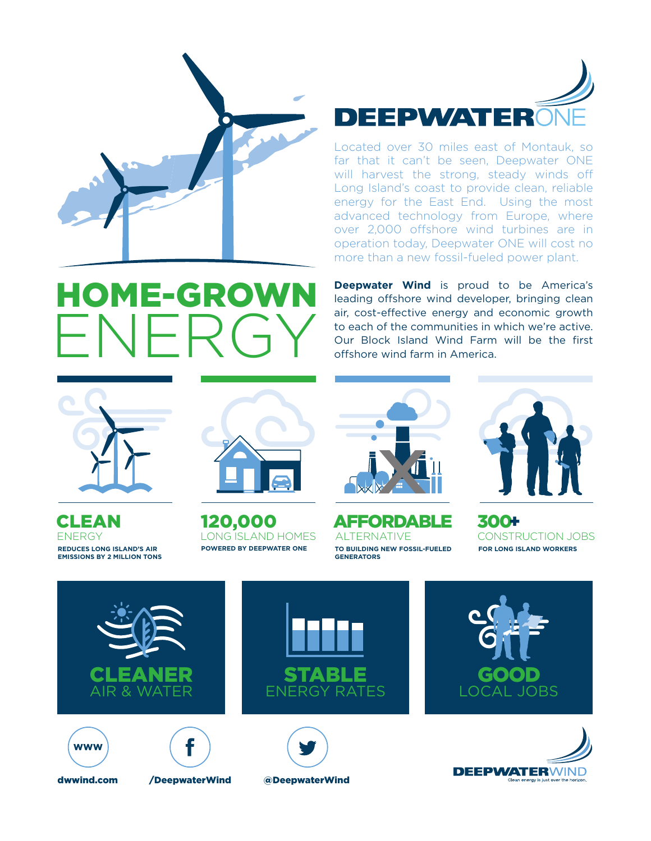





Located over 30 miles east of Montauk, so far that it can't be seen, Deepwater ONE will harvest the strong, steady winds off Long Island's coast to provide clean, reliable energy for the East End. Using the most advanced technology from Europe, where over 2,000 offshore wind turbines are in operation today, Deepwater ONE will cost no more than a new fossil-fueled power plant.

**Deepwater Wind** is proud to be America's leading offshore wind developer, bringing clean air, cost-effective energy and economic growth to each of the communities in which we're active. Our Block Island Wind Farm will be the first offshore wind farm in America.



CLEAN ENERGY **REDUCES LONG ISLAND'S AIR EMISSIONS BY 2 MILLION TONS**



120,000 **POWERED BY DEEPWATER ONE** LONG ISLAND HOMES



AFFORDABLE + ALTERNATIVE **TO BUILDING NEW FOSSIL-FUELED GENERATORS**



300 CONSTRUCTION JOBS **FOR LONG ISLAND WORKERS** 

















dwwind.com /DeepwaterWind @DeepwaterWind